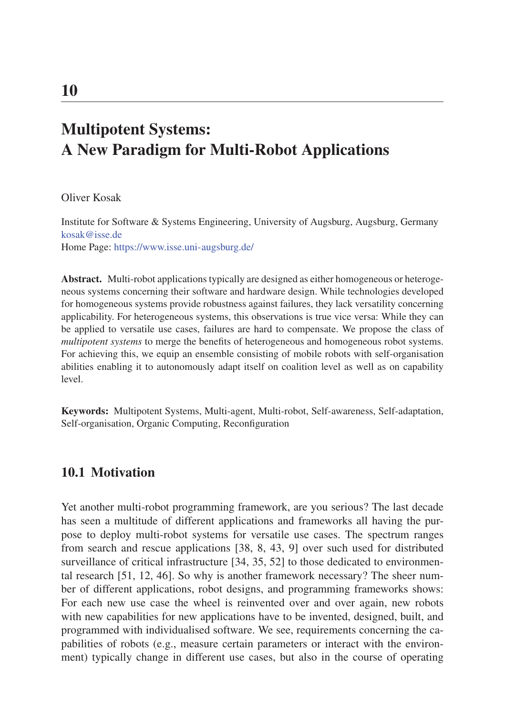# Multipotent Systems: A New Paradigm for Multi-Robot Applications

Oliver Kosak

Institute for Software & Systems Engineering, University of Augsburg, Augsburg, Germany kosak@isse.de Home Page: https://www.isse.uni-augsburg.de/

Abstract. Multi-robot applications typically are designed as either homogeneous or heterogeneous systems concerning their software and hardware design. While technologies developed for homogeneous systems provide robustness against failures, they lack versatility concerning applicability. For heterogeneous systems, this observations is true vice versa: While they can be applied to versatile use cases, failures are hard to compensate. We propose the class of *multipotent systems* to merge the benefits of heterogeneous and homogeneous robot systems. For achieving this, we equip an ensemble consisting of mobile robots with self-organisation abilities enabling it to autonomously adapt itself on coalition level as well as on capability level.

Keywords: Multipotent Systems, Multi-agent, Multi-robot, Self-awareness, Self-adaptation, Self-organisation, Organic Computing, Reconfiguration

#### 10.1 Motivation

Yet another multi-robot programming framework, are you serious? The last decade has seen a multitude of different applications and frameworks all having the purpose to deploy multi-robot systems for versatile use cases. The spectrum ranges from search and rescue applications [38, 8, 43, 9] over such used for distributed surveillance of critical infrastructure [34, 35, 52] to those dedicated to environmental research [51, 12, 46]. So why is another framework necessary? The sheer number of different applications, robot designs, and programming frameworks shows: For each new use case the wheel is reinvented over and over again, new robots with new capabilities for new applications have to be invented, designed, built, and programmed with individualised software. We see, requirements concerning the capabilities of robots (e.g., measure certain parameters or interact with the environment) typically change in different use cases, but also in the course of operating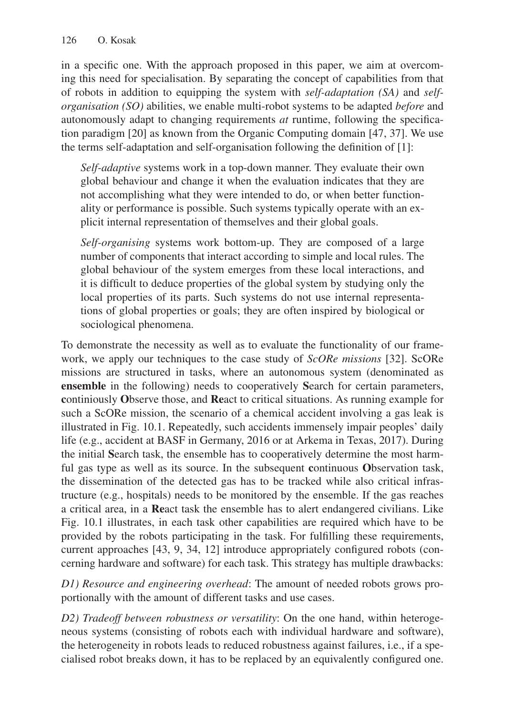in a specific one. With the approach proposed in this paper, we aim at overcoming this need for specialisation. By separating the concept of capabilities from that of robots in addition to equipping the system with *self-adaptation (SA)* and *selforganisation (SO)* abilities, we enable multi-robot systems to be adapted *before* and autonomously adapt to changing requirements *at* runtime, following the specification paradigm [20] as known from the Organic Computing domain [47, 37]. We use the terms self-adaptation and self-organisation following the definition of [1]:

*Self-adaptive* systems work in a top-down manner. They evaluate their own global behaviour and change it when the evaluation indicates that they are not accomplishing what they were intended to do, or when better functionality or performance is possible. Such systems typically operate with an explicit internal representation of themselves and their global goals.

*Self-organising* systems work bottom-up. They are composed of a large number of components that interact according to simple and local rules. The global behaviour of the system emerges from these local interactions, and it is difficult to deduce properties of the global system by studying only the local properties of its parts. Such systems do not use internal representations of global properties or goals; they are often inspired by biological or sociological phenomena.

To demonstrate the necessity as well as to evaluate the functionality of our framework, we apply our techniques to the case study of *ScORe missions* [32]. ScORe missions are structured in tasks, where an autonomous system (denominated as ensemble in the following) needs to cooperatively Search for certain parameters, continiously Observe those, and React to critical situations. As running example for such a ScORe mission, the scenario of a chemical accident involving a gas leak is illustrated in Fig. 10.1. Repeatedly, such accidents immensely impair peoples' daily life (e.g., accident at BASF in Germany, 2016 or at Arkema in Texas, 2017). During the initial Search task, the ensemble has to cooperatively determine the most harmful gas type as well as its source. In the subsequent continuous Observation task, the dissemination of the detected gas has to be tracked while also critical infrastructure (e.g., hospitals) needs to be monitored by the ensemble. If the gas reaches a critical area, in a React task the ensemble has to alert endangered civilians. Like Fig. 10.1 illustrates, in each task other capabilities are required which have to be provided by the robots participating in the task. For fulfilling these requirements, current approaches [43, 9, 34, 12] introduce appropriately configured robots (concerning hardware and software) for each task. This strategy has multiple drawbacks:

*D1) Resource and engineering overhead*: The amount of needed robots grows proportionally with the amount of different tasks and use cases.

*D2) Tradeoff between robustness or versatility*: On the one hand, within heterogeneous systems (consisting of robots each with individual hardware and software), the heterogeneity in robots leads to reduced robustness against failures, i.e., if a specialised robot breaks down, it has to be replaced by an equivalently configured one.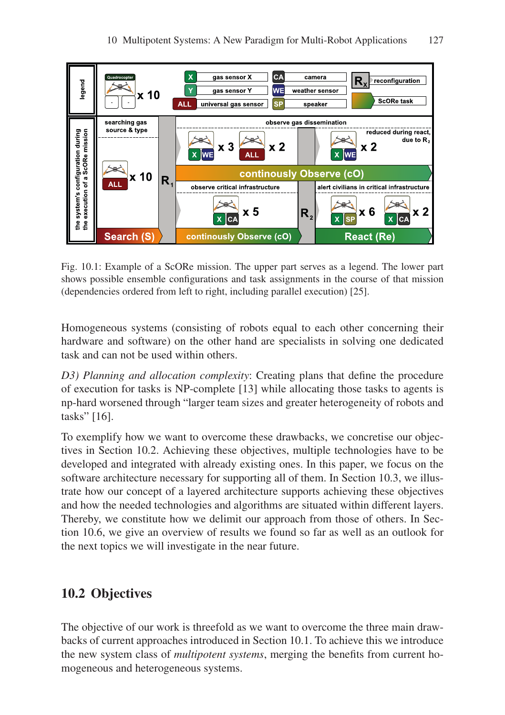

Fig. 10.1: Example of a ScORe mission. The upper part serves as a legend. The lower part shows possible ensemble configurations and task assignments in the course of that mission (dependencies ordered from left to right, including parallel execution) [25].

Homogeneous systems (consisting of robots equal to each other concerning their hardware and software) on the other hand are specialists in solving one dedicated task and can not be used within others.

*D3) Planning and allocation complexity*: Creating plans that define the procedure of execution for tasks is NP-complete [13] while allocating those tasks to agents is np-hard worsened through "larger team sizes and greater heterogeneity of robots and tasks" [16].

To exemplify how we want to overcome these drawbacks, we concretise our objectives in Section 10.2. Achieving these objectives, multiple technologies have to be developed and integrated with already existing ones. In this paper, we focus on the software architecture necessary for supporting all of them. In Section 10.3, we illustrate how our concept of a layered architecture supports achieving these objectives and how the needed technologies and algorithms are situated within different layers. Thereby, we constitute how we delimit our approach from those of others. In Section 10.6, we give an overview of results we found so far as well as an outlook for the next topics we will investigate in the near future.

# 10.2 Objectives

The objective of our work is threefold as we want to overcome the three main drawbacks of current approaches introduced in Section 10.1. To achieve this we introduce the new system class of *multipotent systems*, merging the benefits from current homogeneous and heterogeneous systems.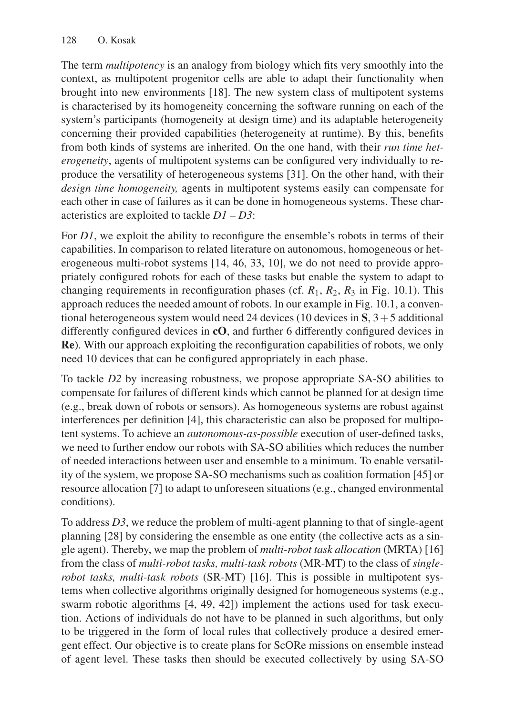The term *multipotency* is an analogy from biology which fits very smoothly into the context, as multipotent progenitor cells are able to adapt their functionality when brought into new environments [18]. The new system class of multipotent systems is characterised by its homogeneity concerning the software running on each of the system's participants (homogeneity at design time) and its adaptable heterogeneity concerning their provided capabilities (heterogeneity at runtime). By this, benefits from both kinds of systems are inherited. On the one hand, with their *run time heterogeneity*, agents of multipotent systems can be configured very individually to reproduce the versatility of heterogeneous systems [31]. On the other hand, with their *design time homogeneity,* agents in multipotent systems easily can compensate for each other in case of failures as it can be done in homogeneous systems. These characteristics are exploited to tackle *D1 – D3*:

For *D1*, we exploit the ability to reconfigure the ensemble's robots in terms of their capabilities. In comparison to related literature on autonomous, homogeneous or heterogeneous multi-robot systems [14, 46, 33, 10], we do not need to provide appropriately configured robots for each of these tasks but enable the system to adapt to changing requirements in reconfiguration phases (cf.  $R_1$ ,  $R_2$ ,  $R_3$  in Fig. 10.1). This approach reduces the needed amount of robots. In our example in Fig. 10.1, a conventional heterogeneous system would need 24 devices (10 devices in  $\mathbf{S}$ ,  $3+5$  additional differently configured devices in cO, and further 6 differently configured devices in Re). With our approach exploiting the reconfiguration capabilities of robots, we only need 10 devices that can be configured appropriately in each phase.

To tackle *D2* by increasing robustness, we propose appropriate SA-SO abilities to compensate for failures of different kinds which cannot be planned for at design time (e.g., break down of robots or sensors). As homogeneous systems are robust against interferences per definition [4], this characteristic can also be proposed for multipotent systems. To achieve an *autonomous-as-possible* execution of user-defined tasks, we need to further endow our robots with SA-SO abilities which reduces the number of needed interactions between user and ensemble to a minimum. To enable versatility of the system, we propose SA-SO mechanisms such as coalition formation [45] or resource allocation [7] to adapt to unforeseen situations (e.g., changed environmental conditions).

To address *D3*, we reduce the problem of multi-agent planning to that of single-agent planning [28] by considering the ensemble as one entity (the collective acts as a single agent). Thereby, we map the problem of *multi-robot task allocation* (MRTA) [16] from the class of *multi-robot tasks, multi-task robots* (MR-MT) to the class of *singlerobot tasks, multi-task robots* (SR-MT) [16]. This is possible in multipotent systems when collective algorithms originally designed for homogeneous systems (e.g., swarm robotic algorithms [4, 49, 42]) implement the actions used for task execution. Actions of individuals do not have to be planned in such algorithms, but only to be triggered in the form of local rules that collectively produce a desired emergent effect. Our objective is to create plans for ScORe missions on ensemble instead of agent level. These tasks then should be executed collectively by using SA-SO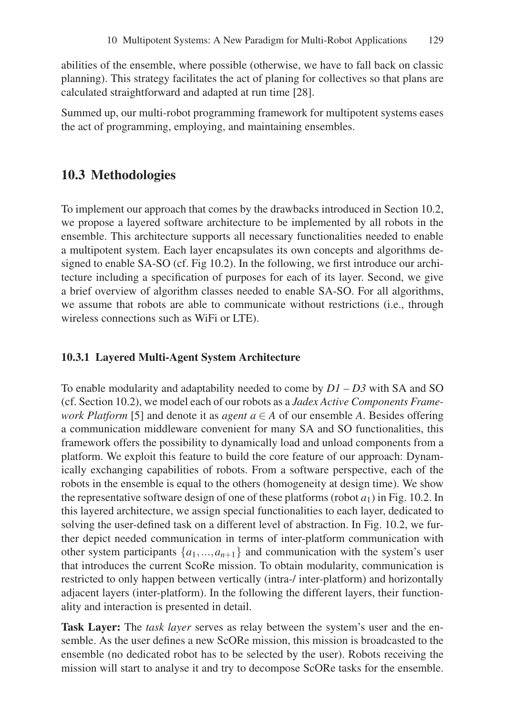abilities of the ensemble, where possible (otherwise, we have to fall back on classic planning). This strategy facilitates the act of planing for collectives so that plans are calculated straightforward and adapted at run time [28].

Summed up, our multi-robot programming framework for multipotent systems eases the act of programming, employing, and maintaining ensembles.

#### 10.3 Methodologies

To implement our approach that comes by the drawbacks introduced in Section 10.2, we propose a layered software architecture to be implemented by all robots in the ensemble. This architecture supports all necessary functionalities needed to enable a multipotent system. Each layer encapsulates its own concepts and algorithms designed to enable SA-SO (cf. Fig 10.2). In the following, we first introduce our architecture including a specification of purposes for each of its layer. Second, we give a brief overview of algorithm classes needed to enable SA-SO. For all algorithms, we assume that robots are able to communicate without restrictions (i.e., through wireless connections such as WiFi or LTE).

#### 10.3.1 Layered Multi-Agent System Architecture

To enable modularity and adaptability needed to come by *D1 – D3* with SA and SO (cf. Section 10.2), we model each of our robots as a *Jadex Active Components Framework Platform* [5] and denote it as *agent a*  $\in$  *A* of our ensemble *A*. Besides offering a communication middleware convenient for many SA and SO functionalities, this framework offers the possibility to dynamically load and unload components from a platform. We exploit this feature to build the core feature of our approach: Dynamically exchanging capabilities of robots. From a software perspective, each of the robots in the ensemble is equal to the others (homogeneity at design time). We show the representative software design of one of these platforms (robot  $a_1$ ) in Fig. 10.2. In this layered architecture, we assign special functionalities to each layer, dedicated to solving the user-defined task on a different level of abstraction. In Fig. 10.2, we further depict needed communication in terms of inter-platform communication with other system participants  $\{a_1, \ldots, a_{n+1}\}$  and communication with the system's user that introduces the current ScoRe mission. To obtain modularity, communication is restricted to only happen between vertically (intra-/ inter-platform) and horizontally adjacent layers (inter-platform). In the following the different layers, their functionality and interaction is presented in detail.

Task Layer: The *task layer* serves as relay between the system's user and the ensemble. As the user defines a new ScORe mission, this mission is broadcasted to the ensemble (no dedicated robot has to be selected by the user). Robots receiving the mission will start to analyse it and try to decompose ScORe tasks for the ensemble.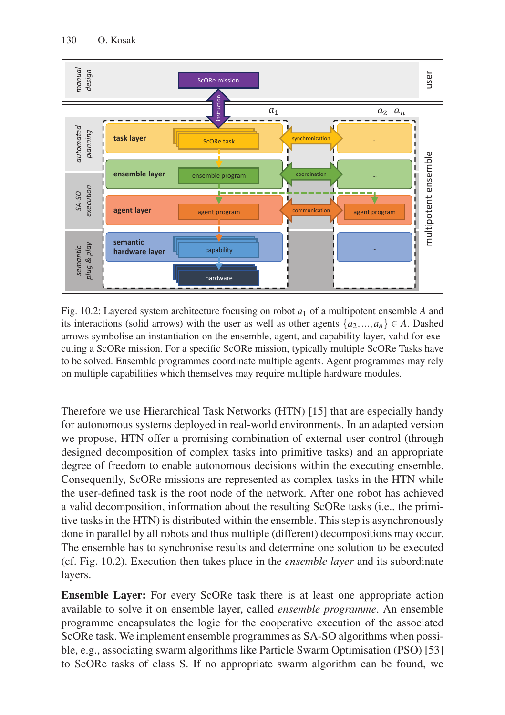

Fig. 10.2: Layered system architecture focusing on robot  $a_1$  of a multipotent ensemble A and its interactions (solid arrows) with the user as well as other agents  $\{a_2, ..., a_n\} \in A$ . Dashed arrows symbolise an instantiation on the ensemble, agent, and capability layer, valid for executing a ScORe mission. For a specific ScORe mission, typically multiple ScORe Tasks have to be solved. Ensemble programmes coordinate multiple agents. Agent programmes may rely on multiple capabilities which themselves may require multiple hardware modules.

Therefore we use Hierarchical Task Networks (HTN) [15] that are especially handy for autonomous systems deployed in real-world environments. In an adapted version we propose, HTN offer a promising combination of external user control (through designed decomposition of complex tasks into primitive tasks) and an appropriate degree of freedom to enable autonomous decisions within the executing ensemble. Consequently, ScORe missions are represented as complex tasks in the HTN while the user-defined task is the root node of the network. After one robot has achieved a valid decomposition, information about the resulting ScORe tasks (i.e., the primitive tasks in the HTN) is distributed within the ensemble. This step is asynchronously done in parallel by all robots and thus multiple (different) decompositions may occur. The ensemble has to synchronise results and determine one solution to be executed (cf. Fig. 10.2). Execution then takes place in the *ensemble layer* and its subordinate layers.

Ensemble Layer: For every ScORe task there is at least one appropriate action available to solve it on ensemble layer, called *ensemble programme*. An ensemble programme encapsulates the logic for the cooperative execution of the associated ScORe task. We implement ensemble programmes as SA-SO algorithms when possible, e.g., associating swarm algorithms like Particle Swarm Optimisation (PSO) [53] to ScORe tasks of class S. If no appropriate swarm algorithm can be found, we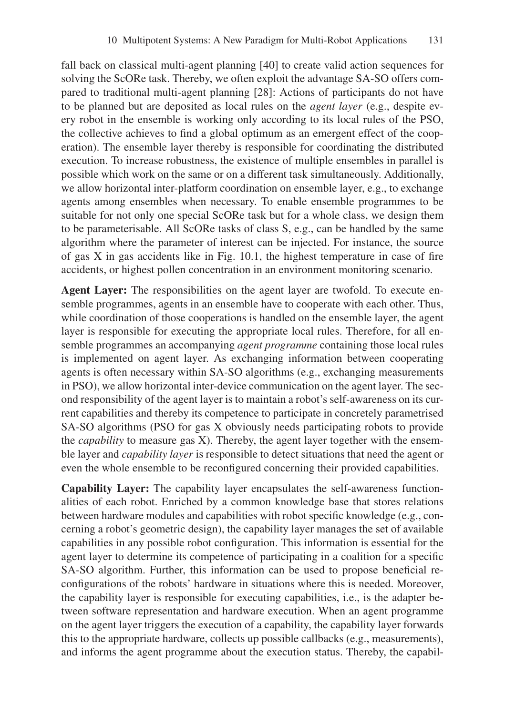fall back on classical multi-agent planning [40] to create valid action sequences for solving the ScORe task. Thereby, we often exploit the advantage SA-SO offers compared to traditional multi-agent planning [28]: Actions of participants do not have to be planned but are deposited as local rules on the *agent layer* (e.g., despite every robot in the ensemble is working only according to its local rules of the PSO, the collective achieves to find a global optimum as an emergent effect of the cooperation). The ensemble layer thereby is responsible for coordinating the distributed execution. To increase robustness, the existence of multiple ensembles in parallel is possible which work on the same or on a different task simultaneously. Additionally, we allow horizontal inter-platform coordination on ensemble layer, e.g., to exchange agents among ensembles when necessary. To enable ensemble programmes to be suitable for not only one special ScORe task but for a whole class, we design them to be parameterisable. All ScORe tasks of class S, e.g., can be handled by the same algorithm where the parameter of interest can be injected. For instance, the source of gas X in gas accidents like in Fig. 10.1, the highest temperature in case of fire accidents, or highest pollen concentration in an environment monitoring scenario.

Agent Layer: The responsibilities on the agent layer are twofold. To execute ensemble programmes, agents in an ensemble have to cooperate with each other. Thus, while coordination of those cooperations is handled on the ensemble layer, the agent layer is responsible for executing the appropriate local rules. Therefore, for all ensemble programmes an accompanying *agent programme* containing those local rules is implemented on agent layer. As exchanging information between cooperating agents is often necessary within SA-SO algorithms (e.g., exchanging measurements in PSO), we allow horizontal inter-device communication on the agent layer. The second responsibility of the agent layer is to maintain a robot's self-awareness on its current capabilities and thereby its competence to participate in concretely parametrised SA-SO algorithms (PSO for gas X obviously needs participating robots to provide the *capability* to measure gas X). Thereby, the agent layer together with the ensemble layer and *capability layer* is responsible to detect situations that need the agent or even the whole ensemble to be reconfigured concerning their provided capabilities.

Capability Layer: The capability layer encapsulates the self-awareness functionalities of each robot. Enriched by a common knowledge base that stores relations between hardware modules and capabilities with robot specific knowledge (e.g., concerning a robot's geometric design), the capability layer manages the set of available capabilities in any possible robot configuration. This information is essential for the agent layer to determine its competence of participating in a coalition for a specific SA-SO algorithm. Further, this information can be used to propose beneficial reconfigurations of the robots' hardware in situations where this is needed. Moreover, the capability layer is responsible for executing capabilities, i.e., is the adapter between software representation and hardware execution. When an agent programme on the agent layer triggers the execution of a capability, the capability layer forwards this to the appropriate hardware, collects up possible callbacks (e.g., measurements), and informs the agent programme about the execution status. Thereby, the capabil-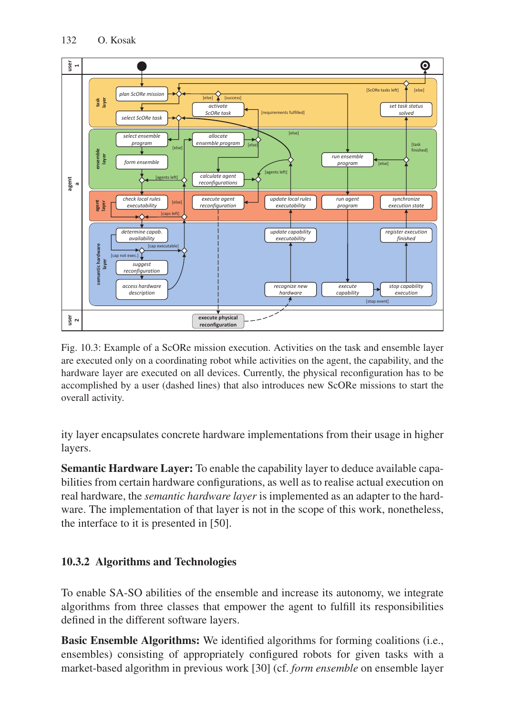

Fig. 10.3: Example of a ScORe mission execution. Activities on the task and ensemble layer are executed only on a coordinating robot while activities on the agent, the capability, and the hardware layer are executed on all devices. Currently, the physical reconfiguration has to be accomplished by a user (dashed lines) that also introduces new ScORe missions to start the overall activity.

ity layer encapsulates concrete hardware implementations from their usage in higher layers.

Semantic Hardware Layer: To enable the capability layer to deduce available capabilities from certain hardware configurations, as well as to realise actual execution on real hardware, the *semantic hardware layer* is implemented as an adapter to the hardware. The implementation of that layer is not in the scope of this work, nonetheless, the interface to it is presented in [50].

## 10.3.2 Algorithms and Technologies

To enable SA-SO abilities of the ensemble and increase its autonomy, we integrate algorithms from three classes that empower the agent to fulfill its responsibilities defined in the different software layers.

Basic Ensemble Algorithms: We identified algorithms for forming coalitions (i.e., ensembles) consisting of appropriately configured robots for given tasks with a market-based algorithm in previous work [30] (cf. *form ensemble* on ensemble layer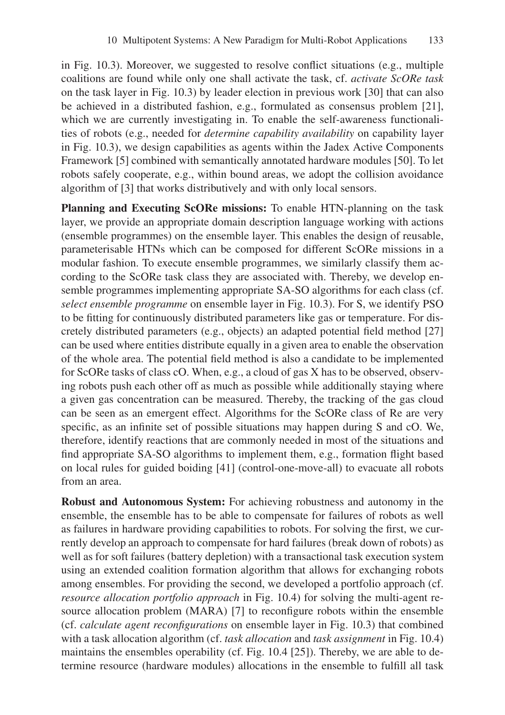in Fig. 10.3). Moreover, we suggested to resolve conflict situations (e.g., multiple coalitions are found while only one shall activate the task, cf. *activate ScORe task* on the task layer in Fig. 10.3) by leader election in previous work [30] that can also be achieved in a distributed fashion, e.g., formulated as consensus problem [21], which we are currently investigating in. To enable the self-awareness functionalities of robots (e.g., needed for *determine capability availability* on capability layer in Fig. 10.3), we design capabilities as agents within the Jadex Active Components Framework [5] combined with semantically annotated hardware modules [50]. To let robots safely cooperate, e.g., within bound areas, we adopt the collision avoidance algorithm of [3] that works distributively and with only local sensors.

Planning and Executing ScORe missions: To enable HTN-planning on the task layer, we provide an appropriate domain description language working with actions (ensemble programmes) on the ensemble layer. This enables the design of reusable, parameterisable HTNs which can be composed for different ScORe missions in a modular fashion. To execute ensemble programmes, we similarly classify them according to the ScORe task class they are associated with. Thereby, we develop ensemble programmes implementing appropriate SA-SO algorithms for each class (cf. *select ensemble programme* on ensemble layer in Fig. 10.3). For S, we identify PSO to be fitting for continuously distributed parameters like gas or temperature. For discretely distributed parameters (e.g., objects) an adapted potential field method [27] can be used where entities distribute equally in a given area to enable the observation of the whole area. The potential field method is also a candidate to be implemented for ScORe tasks of class cO. When, e.g., a cloud of gas X has to be observed, observing robots push each other off as much as possible while additionally staying where a given gas concentration can be measured. Thereby, the tracking of the gas cloud can be seen as an emergent effect. Algorithms for the ScORe class of Re are very specific, as an infinite set of possible situations may happen during S and cO. We, therefore, identify reactions that are commonly needed in most of the situations and find appropriate SA-SO algorithms to implement them, e.g., formation flight based on local rules for guided boiding [41] (control-one-move-all) to evacuate all robots from an area.

Robust and Autonomous System: For achieving robustness and autonomy in the ensemble, the ensemble has to be able to compensate for failures of robots as well as failures in hardware providing capabilities to robots. For solving the first, we currently develop an approach to compensate for hard failures (break down of robots) as well as for soft failures (battery depletion) with a transactional task execution system using an extended coalition formation algorithm that allows for exchanging robots among ensembles. For providing the second, we developed a portfolio approach (cf. *resource allocation portfolio approach* in Fig. 10.4) for solving the multi-agent resource allocation problem (MARA) [7] to reconfigure robots within the ensemble (cf. *calculate agent reconfigurations* on ensemble layer in Fig. 10.3) that combined with a task allocation algorithm (cf. *task allocation* and *task assignment* in Fig. 10.4) maintains the ensembles operability (cf. Fig. 10.4 [25]). Thereby, we are able to determine resource (hardware modules) allocations in the ensemble to fulfill all task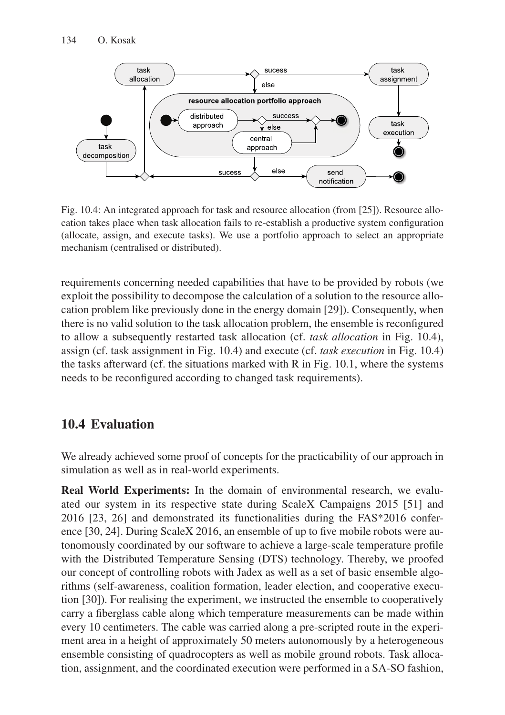

Fig. 10.4: An integrated approach for task and resource allocation (from [25]). Resource allocation takes place when task allocation fails to re-establish a productive system configuration (allocate, assign, and execute tasks). We use a portfolio approach to select an appropriate mechanism (centralised or distributed).

requirements concerning needed capabilities that have to be provided by robots (we exploit the possibility to decompose the calculation of a solution to the resource allocation problem like previously done in the energy domain [29]). Consequently, when there is no valid solution to the task allocation problem, the ensemble is reconfigured to allow a subsequently restarted task allocation (cf. *task allocation* in Fig. 10.4), assign (cf. task assignment in Fig. 10.4) and execute (cf. *task execution* in Fig. 10.4) the tasks afterward (cf. the situations marked with R in Fig. 10.1, where the systems needs to be reconfigured according to changed task requirements).

## 10.4 Evaluation

We already achieved some proof of concepts for the practicability of our approach in simulation as well as in real-world experiments.

Real World Experiments: In the domain of environmental research, we evaluated our system in its respective state during ScaleX Campaigns 2015 [51] and 2016 [23, 26] and demonstrated its functionalities during the FAS\*2016 conference [30, 24]. During ScaleX 2016, an ensemble of up to five mobile robots were autonomously coordinated by our software to achieve a large-scale temperature profile with the Distributed Temperature Sensing (DTS) technology. Thereby, we proofed our concept of controlling robots with Jadex as well as a set of basic ensemble algorithms (self-awareness, coalition formation, leader election, and cooperative execution [30]). For realising the experiment, we instructed the ensemble to cooperatively carry a fiberglass cable along which temperature measurements can be made within every 10 centimeters. The cable was carried along a pre-scripted route in the experiment area in a height of approximately 50 meters autonomously by a heterogeneous ensemble consisting of quadrocopters as well as mobile ground robots. Task allocation, assignment, and the coordinated execution were performed in a SA-SO fashion,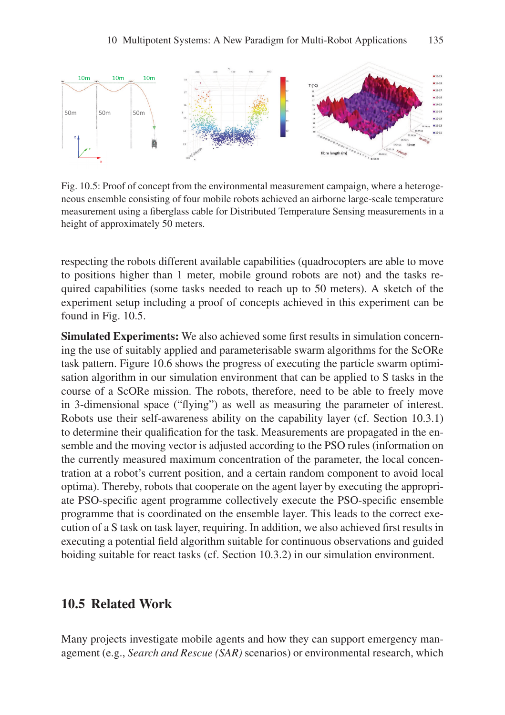

Fig. 10.5: Proof of concept from the environmental measurement campaign, where a heterogeneous ensemble consisting of four mobile robots achieved an airborne large-scale temperature measurement using a fiberglass cable for Distributed Temperature Sensing measurements in a height of approximately 50 meters.

respecting the robots different available capabilities (quadrocopters are able to move to positions higher than 1 meter, mobile ground robots are not) and the tasks required capabilities (some tasks needed to reach up to 50 meters). A sketch of the experiment setup including a proof of concepts achieved in this experiment can be found in Fig. 10.5.

Simulated Experiments: We also achieved some first results in simulation concerning the use of suitably applied and parameterisable swarm algorithms for the ScORe task pattern. Figure 10.6 shows the progress of executing the particle swarm optimisation algorithm in our simulation environment that can be applied to S tasks in the course of a ScORe mission. The robots, therefore, need to be able to freely move in 3-dimensional space ("flying") as well as measuring the parameter of interest. Robots use their self-awareness ability on the capability layer (cf. Section 10.3.1) to determine their qualification for the task. Measurements are propagated in the ensemble and the moving vector is adjusted according to the PSO rules (information on the currently measured maximum concentration of the parameter, the local concentration at a robot's current position, and a certain random component to avoid local optima). Thereby, robots that cooperate on the agent layer by executing the appropriate PSO-specific agent programme collectively execute the PSO-specific ensemble programme that is coordinated on the ensemble layer. This leads to the correct execution of a S task on task layer, requiring. In addition, we also achieved first results in executing a potential field algorithm suitable for continuous observations and guided boiding suitable for react tasks (cf. Section 10.3.2) in our simulation environment.

#### 10.5 Related Work

Many projects investigate mobile agents and how they can support emergency management (e.g., *Search and Rescue (SAR)* scenarios) or environmental research, which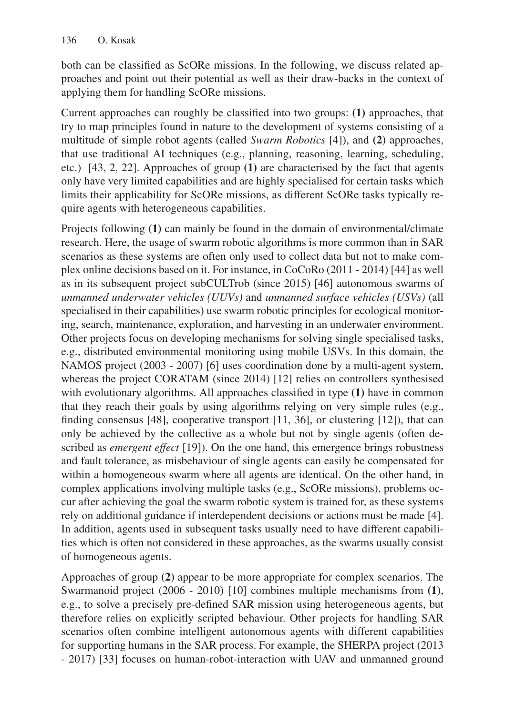both can be classified as ScORe missions. In the following, we discuss related approaches and point out their potential as well as their draw-backs in the context of applying them for handling ScORe missions.

Current approaches can roughly be classified into two groups: (1) approaches, that try to map principles found in nature to the development of systems consisting of a multitude of simple robot agents (called *Swarm Robotics* [4]), and (2) approaches, that use traditional AI techniques (e.g., planning, reasoning, learning, scheduling, etc.) [43, 2, 22]. Approaches of group (1) are characterised by the fact that agents only have very limited capabilities and are highly specialised for certain tasks which limits their applicability for ScORe missions, as different ScORe tasks typically require agents with heterogeneous capabilities.

Projects following (1) can mainly be found in the domain of environmental/climate research. Here, the usage of swarm robotic algorithms is more common than in SAR scenarios as these systems are often only used to collect data but not to make complex online decisions based on it. For instance, in CoCoRo (2011 - 2014) [44] as well as in its subsequent project subCULTrob (since 2015) [46] autonomous swarms of *unmanned underwater vehicles (UUVs)* and *unmanned surface vehicles (USVs)* (all specialised in their capabilities) use swarm robotic principles for ecological monitoring, search, maintenance, exploration, and harvesting in an underwater environment. Other projects focus on developing mechanisms for solving single specialised tasks, e.g., distributed environmental monitoring using mobile USVs. In this domain, the NAMOS project (2003 - 2007) [6] uses coordination done by a multi-agent system, whereas the project CORATAM (since 2014) [12] relies on controllers synthesised with evolutionary algorithms. All approaches classified in type  $(1)$  have in common that they reach their goals by using algorithms relying on very simple rules (e.g., finding consensus [48], cooperative transport [11, 36], or clustering [12]), that can only be achieved by the collective as a whole but not by single agents (often described as *emergent effect* [19]). On the one hand, this emergence brings robustness and fault tolerance, as misbehaviour of single agents can easily be compensated for within a homogeneous swarm where all agents are identical. On the other hand, in complex applications involving multiple tasks (e.g., ScORe missions), problems occur after achieving the goal the swarm robotic system is trained for, as these systems rely on additional guidance if interdependent decisions or actions must be made [4]. In addition, agents used in subsequent tasks usually need to have different capabilities which is often not considered in these approaches, as the swarms usually consist of homogeneous agents.

Approaches of group (2) appear to be more appropriate for complex scenarios. The Swarmanoid project (2006 - 2010) [10] combines multiple mechanisms from (1), e.g., to solve a precisely pre-defined SAR mission using heterogeneous agents, but therefore relies on explicitly scripted behaviour. Other projects for handling SAR scenarios often combine intelligent autonomous agents with different capabilities for supporting humans in the SAR process. For example, the SHERPA project (2013 - 2017) [33] focuses on human-robot-interaction with UAV and unmanned ground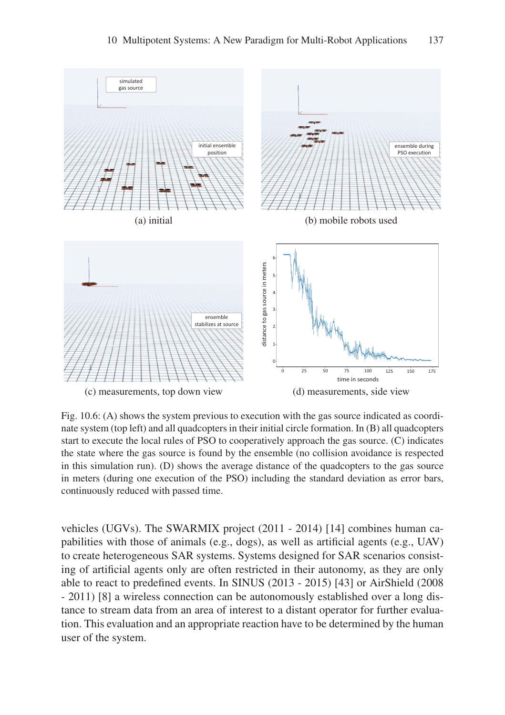

Fig. 10.6: (A) shows the system previous to execution with the gas source indicated as coordinate system (top left) and all quadcopters in their initial circle formation. In (B) all quadcopters start to execute the local rules of PSO to cooperatively approach the gas source. (C) indicates the state where the gas source is found by the ensemble (no collision avoidance is respected in this simulation run). (D) shows the average distance of the quadcopters to the gas source in meters (during one execution of the PSO) including the standard deviation as error bars, continuously reduced with passed time.

vehicles (UGVs). The SWARMIX project (2011 - 2014) [14] combines human capabilities with those of animals (e.g., dogs), as well as artificial agents (e.g., UAV) to create heterogeneous SAR systems. Systems designed for SAR scenarios consisting of artificial agents only are often restricted in their autonomy, as they are only able to react to predefined events. In SINUS (2013 - 2015) [43] or AirShield (2008 - 2011) [8] a wireless connection can be autonomously established over a long distance to stream data from an area of interest to a distant operator for further evaluation. This evaluation and an appropriate reaction have to be determined by the human user of the system.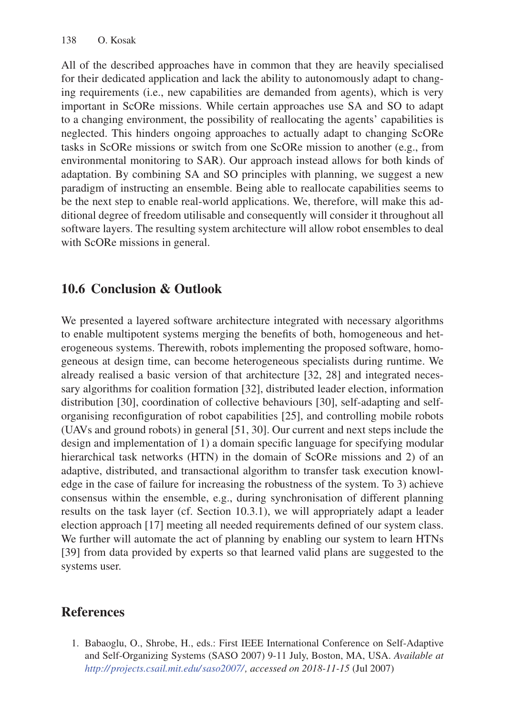All of the described approaches have in common that they are heavily specialised for their dedicated application and lack the ability to autonomously adapt to changing requirements (i.e., new capabilities are demanded from agents), which is very important in ScORe missions. While certain approaches use SA and SO to adapt to a changing environment, the possibility of reallocating the agents' capabilities is neglected. This hinders ongoing approaches to actually adapt to changing ScORe tasks in ScORe missions or switch from one ScORe mission to another (e.g., from environmental monitoring to SAR). Our approach instead allows for both kinds of adaptation. By combining SA and SO principles with planning, we suggest a new paradigm of instructing an ensemble. Being able to reallocate capabilities seems to be the next step to enable real-world applications. We, therefore, will make this additional degree of freedom utilisable and consequently will consider it throughout all software layers. The resulting system architecture will allow robot ensembles to deal with ScORe missions in general.

## 10.6 Conclusion & Outlook

We presented a layered software architecture integrated with necessary algorithms to enable multipotent systems merging the benefits of both, homogeneous and heterogeneous systems. Therewith, robots implementing the proposed software, homogeneous at design time, can become heterogeneous specialists during runtime. We already realised a basic version of that architecture [32, 28] and integrated necessary algorithms for coalition formation [32], distributed leader election, information distribution [30], coordination of collective behaviours [30], self-adapting and selforganising reconfiguration of robot capabilities [25], and controlling mobile robots (UAVs and ground robots) in general [51, 30]. Our current and next steps include the design and implementation of 1) a domain specific language for specifying modular hierarchical task networks (HTN) in the domain of ScORe missions and 2) of an adaptive, distributed, and transactional algorithm to transfer task execution knowledge in the case of failure for increasing the robustness of the system. To 3) achieve consensus within the ensemble, e.g., during synchronisation of different planning results on the task layer (cf. Section 10.3.1), we will appropriately adapt a leader election approach [17] meeting all needed requirements defined of our system class. We further will automate the act of planning by enabling our system to learn HTNs [39] from data provided by experts so that learned valid plans are suggested to the systems user.

# References

1. Babaoglu, O., Shrobe, H., eds.: First IEEE International Conference on Self-Adaptive and Self-Organizing Systems (SASO 2007) 9-11 July, Boston, MA, USA. *Available at http:// projects.csail.mit.edu/ saso2007/, accessed on 2018-11-15* (Jul 2007)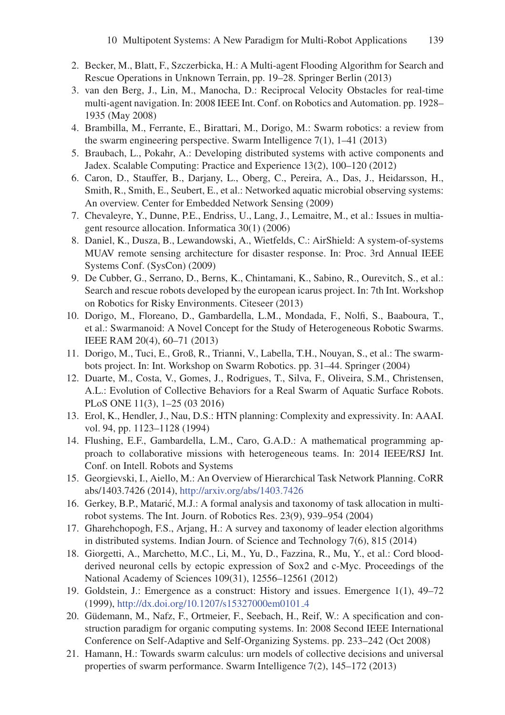- 2. Becker, M., Blatt, F., Szczerbicka, H.: A Multi-agent Flooding Algorithm for Search and Rescue Operations in Unknown Terrain, pp. 19–28. Springer Berlin (2013)
- 3. van den Berg, J., Lin, M., Manocha, D.: Reciprocal Velocity Obstacles for real-time multi-agent navigation. In: 2008 IEEE Int. Conf. on Robotics and Automation. pp. 1928– 1935 (May 2008)
- 4. Brambilla, M., Ferrante, E., Birattari, M., Dorigo, M.: Swarm robotics: a review from the swarm engineering perspective. Swarm Intelligence 7(1), 1–41 (2013)
- 5. Braubach, L., Pokahr, A.: Developing distributed systems with active components and Jadex. Scalable Computing: Practice and Experience 13(2), 100–120 (2012)
- 6. Caron, D., Stauffer, B., Darjany, L., Oberg, C., Pereira, A., Das, J., Heidarsson, H., Smith, R., Smith, E., Seubert, E., et al.: Networked aquatic microbial observing systems: An overview. Center for Embedded Network Sensing (2009)
- 7. Chevaleyre, Y., Dunne, P.E., Endriss, U., Lang, J., Lemaitre, M., et al.: Issues in multiagent resource allocation. Informatica 30(1) (2006)
- 8. Daniel, K., Dusza, B., Lewandowski, A., Wietfelds, C.: AirShield: A system-of-systems MUAV remote sensing architecture for disaster response. In: Proc. 3rd Annual IEEE Systems Conf. (SysCon) (2009)
- 9. De Cubber, G., Serrano, D., Berns, K., Chintamani, K., Sabino, R., Ourevitch, S., et al.: Search and rescue robots developed by the european icarus project. In: 7th Int. Workshop on Robotics for Risky Environments. Citeseer (2013)
- 10. Dorigo, M., Floreano, D., Gambardella, L.M., Mondada, F., Nolfi, S., Baaboura, T., et al.: Swarmanoid: A Novel Concept for the Study of Heterogeneous Robotic Swarms. IEEE RAM 20(4), 60–71 (2013)
- 11. Dorigo, M., Tuci, E., Groß, R., Trianni, V., Labella, T.H., Nouyan, S., et al.: The swarmbots project. In: Int. Workshop on Swarm Robotics. pp. 31–44. Springer (2004)
- 12. Duarte, M., Costa, V., Gomes, J., Rodrigues, T., Silva, F., Oliveira, S.M., Christensen, A.L.: Evolution of Collective Behaviors for a Real Swarm of Aquatic Surface Robots. PLoS ONE 11(3), 1–25 (03 2016)
- 13. Erol, K., Hendler, J., Nau, D.S.: HTN planning: Complexity and expressivity. In: AAAI. vol. 94, pp. 1123–1128 (1994)
- 14. Flushing, E.F., Gambardella, L.M., Caro, G.A.D.: A mathematical programming approach to collaborative missions with heterogeneous teams. In: 2014 IEEE/RSJ Int. Conf. on Intell. Robots and Systems
- 15. Georgievski, I., Aiello, M.: An Overview of Hierarchical Task Network Planning. CoRR abs/1403.7426 (2014), http://arxiv.org/abs/1403.7426
- 16. Gerkey, B.P., Matarić, M.J.: A formal analysis and taxonomy of task allocation in multirobot systems. The Int. Journ. of Robotics Res. 23(9), 939–954 (2004)
- 17. Gharehchopogh, F.S., Arjang, H.: A survey and taxonomy of leader election algorithms in distributed systems. Indian Journ. of Science and Technology 7(6), 815 (2014)
- 18. Giorgetti, A., Marchetto, M.C., Li, M., Yu, D., Fazzina, R., Mu, Y., et al.: Cord bloodderived neuronal cells by ectopic expression of Sox2 and c-Myc. Proceedings of the National Academy of Sciences 109(31), 12556–12561 (2012)
- 19. Goldstein, J.: Emergence as a construct: History and issues. Emergence 1(1), 49–72 (1999), http://dx.doi.org/10.1207/s15327000em0101 4
- 20. Güdemann, M., Nafz, F., Ortmeier, F., Seebach, H., Reif, W.: A specification and construction paradigm for organic computing systems. In: 2008 Second IEEE International Conference on Self-Adaptive and Self-Organizing Systems. pp. 233–242 (Oct 2008)
- 21. Hamann, H.: Towards swarm calculus: urn models of collective decisions and universal properties of swarm performance. Swarm Intelligence 7(2), 145–172 (2013)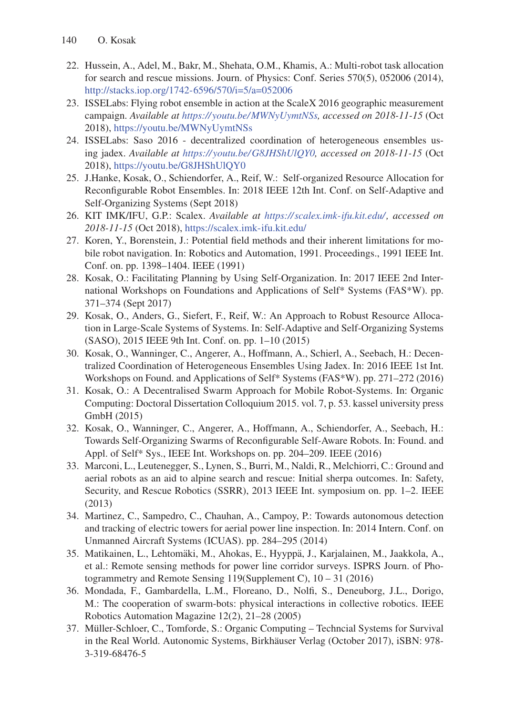- 22. Hussein, A., Adel, M., Bakr, M., Shehata, O.M., Khamis, A.: Multi-robot task allocation for search and rescue missions. Journ. of Physics: Conf. Series 570(5), 052006 (2014), http://stacks.iop.org/1742-6596/570/i=5/a=052006
- 23. ISSELabs: Flying robot ensemble in action at the ScaleX 2016 geographic measurement campaign. *Available at https://youtu.be/MWNyUymtNSs, accessed on 2018-11-15* (Oct 2018), https://youtu.be/MWNyUymtNSs
- 24. ISSELabs: Saso 2016 decentralized coordination of heterogeneous ensembles using jadex. *Available at https://youtu.be/G8JHShUlQY0, accessed on 2018-11-15* (Oct 2018), https://youtu.be/G8JHShUlQY0
- 25. J.Hanke, Kosak, O., Schiendorfer, A., Reif, W.: Self-organized Resource Allocation for Reconfigurable Robot Ensembles. In: 2018 IEEE 12th Int. Conf. on Self-Adaptive and Self-Organizing Systems (Sept 2018)
- 26. KIT IMK/IFU, G.P.: Scalex. *Available at https:// scalex.imk-ifu.kit.edu/, accessed on 2018-11-15* (Oct 2018), https://scalex.imk-ifu.kit.edu/
- 27. Koren, Y., Borenstein, J.: Potential field methods and their inherent limitations for mobile robot navigation. In: Robotics and Automation, 1991. Proceedings., 1991 IEEE Int. Conf. on. pp. 1398–1404. IEEE (1991)
- 28. Kosak, O.: Facilitating Planning by Using Self-Organization. In: 2017 IEEE 2nd International Workshops on Foundations and Applications of Self\* Systems (FAS\*W). pp. 371–374 (Sept 2017)
- 29. Kosak, O., Anders, G., Siefert, F., Reif, W.: An Approach to Robust Resource Allocation in Large-Scale Systems of Systems. In: Self-Adaptive and Self-Organizing Systems (SASO), 2015 IEEE 9th Int. Conf. on. pp. 1–10 (2015)
- 30. Kosak, O., Wanninger, C., Angerer, A., Hoffmann, A., Schierl, A., Seebach, H.: Decentralized Coordination of Heterogeneous Ensembles Using Jadex. In: 2016 IEEE 1st Int. Workshops on Found. and Applications of Self\* Systems (FAS\*W). pp. 271–272 (2016)
- 31. Kosak, O.: A Decentralised Swarm Approach for Mobile Robot-Systems. In: Organic Computing: Doctoral Dissertation Colloquium 2015. vol. 7, p. 53. kassel university press GmbH (2015)
- 32. Kosak, O., Wanninger, C., Angerer, A., Hoffmann, A., Schiendorfer, A., Seebach, H.: Towards Self-Organizing Swarms of Reconfigurable Self-Aware Robots. In: Found. and Appl. of Self\* Sys., IEEE Int. Workshops on. pp. 204–209. IEEE (2016)
- 33. Marconi, L., Leutenegger, S., Lynen, S., Burri, M., Naldi, R., Melchiorri, C.: Ground and aerial robots as an aid to alpine search and rescue: Initial sherpa outcomes. In: Safety, Security, and Rescue Robotics (SSRR), 2013 IEEE Int. symposium on. pp. 1–2. IEEE (2013)
- 34. Martinez, C., Sampedro, C., Chauhan, A., Campoy, P.: Towards autonomous detection and tracking of electric towers for aerial power line inspection. In: 2014 Intern. Conf. on Unmanned Aircraft Systems (ICUAS). pp. 284–295 (2014)
- 35. Matikainen, L., Lehtomäki, M., Ahokas, E., Hyyppä, J., Karjalainen, M., Jaakkola, A., et al.: Remote sensing methods for power line corridor surveys. ISPRS Journ. of Photogrammetry and Remote Sensing 119(Supplement C), 10 – 31 (2016)
- 36. Mondada, F., Gambardella, L.M., Floreano, D., Nolfi, S., Deneuborg, J.L., Dorigo, M.: The cooperation of swarm-bots: physical interactions in collective robotics. IEEE Robotics Automation Magazine 12(2), 21–28 (2005)
- 37. Muller-Schloer, C., Tomforde, S.: Organic Computing Techncial Systems for Survival ¨ in the Real World. Autonomic Systems, Birkhäuser Verlag (October 2017), iSBN: 978-3-319-68476-5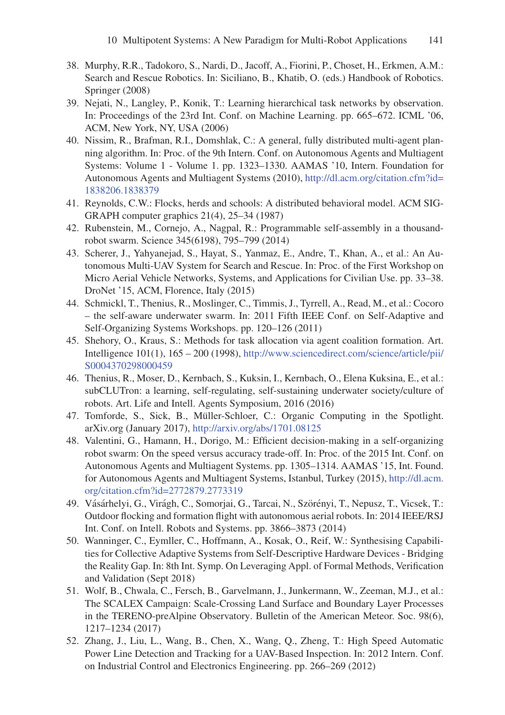- 38. Murphy, R.R., Tadokoro, S., Nardi, D., Jacoff, A., Fiorini, P., Choset, H., Erkmen, A.M.: Search and Rescue Robotics. In: Siciliano, B., Khatib, O. (eds.) Handbook of Robotics. Springer (2008)
- 39. Nejati, N., Langley, P., Konik, T.: Learning hierarchical task networks by observation. In: Proceedings of the 23rd Int. Conf. on Machine Learning. pp. 665–672. ICML '06, ACM, New York, NY, USA (2006)
- 40. Nissim, R., Brafman, R.I., Domshlak, C.: A general, fully distributed multi-agent planning algorithm. In: Proc. of the 9th Intern. Conf. on Autonomous Agents and Multiagent Systems: Volume 1 - Volume 1. pp. 1323–1330. AAMAS '10, Intern. Foundation for Autonomous Agents and Multiagent Systems (2010), http://dl.acm.org/citation.cfm?id= 1838206.1838379
- 41. Reynolds, C.W.: Flocks, herds and schools: A distributed behavioral model. ACM SIG-GRAPH computer graphics 21(4), 25–34 (1987)
- 42. Rubenstein, M., Cornejo, A., Nagpal, R.: Programmable self-assembly in a thousandrobot swarm. Science 345(6198), 795–799 (2014)
- 43. Scherer, J., Yahyanejad, S., Hayat, S., Yanmaz, E., Andre, T., Khan, A., et al.: An Autonomous Multi-UAV System for Search and Rescue. In: Proc. of the First Workshop on Micro Aerial Vehicle Networks, Systems, and Applications for Civilian Use. pp. 33–38. DroNet '15, ACM, Florence, Italy (2015)
- 44. Schmickl, T., Thenius, R., Moslinger, C., Timmis, J., Tyrrell, A., Read, M., et al.: Cocoro – the self-aware underwater swarm. In: 2011 Fifth IEEE Conf. on Self-Adaptive and Self-Organizing Systems Workshops. pp. 120–126 (2011)
- 45. Shehory, O., Kraus, S.: Methods for task allocation via agent coalition formation. Art. Intelligence 101(1), 165 – 200 (1998), http://www.sciencedirect.com/science/article/pii/ S0004370298000459
- 46. Thenius, R., Moser, D., Kernbach, S., Kuksin, I., Kernbach, O., Elena Kuksina, E., et al.: subCLUTron: a learning, self-regulating, self-sustaining underwater society/culture of robots. Art. Life and Intell. Agents Symposium, 2016 (2016)
- 47. Tomforde, S., Sick, B., Müller-Schloer, C.: Organic Computing in the Spotlight. arXiv.org (January 2017), http://arxiv.org/abs/1701.08125
- 48. Valentini, G., Hamann, H., Dorigo, M.: Efficient decision-making in a self-organizing robot swarm: On the speed versus accuracy trade-off. In: Proc. of the 2015 Int. Conf. on Autonomous Agents and Multiagent Systems. pp. 1305–1314. AAMAS '15, Int. Found. for Autonomous Agents and Multiagent Systems, Istanbul, Turkey (2015), http://dl.acm. org/citation.cfm?id=2772879.2773319
- 49. Vásárhelyi, G., Virágh, C., Somorjai, G., Tarcai, N., Szörényi, T., Nepusz, T., Vicsek, T.: Outdoor flocking and formation flight with autonomous aerial robots. In: 2014 IEEE/RSJ Int. Conf. on Intell. Robots and Systems. pp. 3866–3873 (2014)
- 50. Wanninger, C., Eymller, C., Hoffmann, A., Kosak, O., Reif, W.: Synthesising Capabilities for Collective Adaptive Systems from Self-Descriptive Hardware Devices - Bridging the Reality Gap. In: 8th Int. Symp. On Leveraging Appl. of Formal Methods, Verification and Validation (Sept 2018)
- 51. Wolf, B., Chwala, C., Fersch, B., Garvelmann, J., Junkermann, W., Zeeman, M.J., et al.: The SCALEX Campaign: Scale-Crossing Land Surface and Boundary Layer Processes in the TERENO-preAlpine Observatory. Bulletin of the American Meteor. Soc. 98(6), 1217–1234 (2017)
- 52. Zhang, J., Liu, L., Wang, B., Chen, X., Wang, Q., Zheng, T.: High Speed Automatic Power Line Detection and Tracking for a UAV-Based Inspection. In: 2012 Intern. Conf. on Industrial Control and Electronics Engineering. pp. 266–269 (2012)